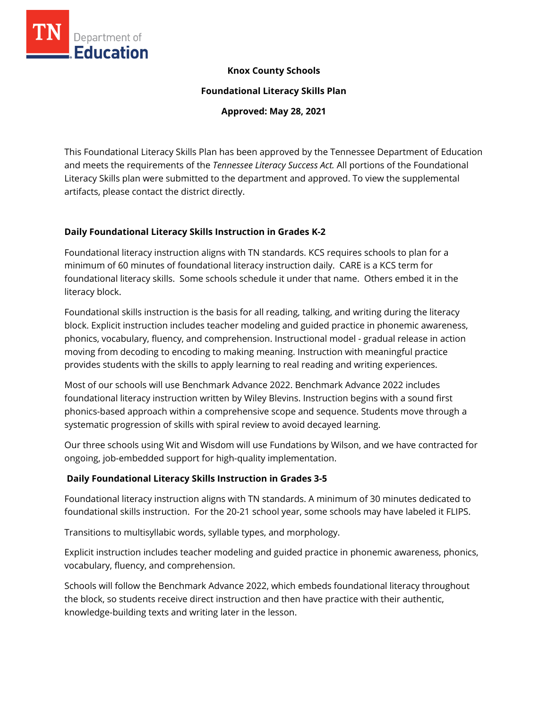

## **Knox County Schools**

**Foundational Literacy Skills Plan**

**Approved: May 28, 2021**

This Foundational Literacy Skills Plan has been approved by the Tennessee Department of Education and meets the requirements of the *Tennessee Literacy Success Act.* All portions of the Foundational Literacy Skills plan were submitted to the department and approved. To view the supplemental artifacts, please contact the district directly.

## **Daily Foundational Literacy Skills Instruction in Grades K-2**

Foundational literacy instruction aligns with TN standards. KCS requires schools to plan for a minimum of 60 minutes of foundational literacy instruction daily. CARE is a KCS term for foundational literacy skills. Some schools schedule it under that name. Others embed it in the literacy block.

Foundational skills instruction is the basis for all reading, talking, and writing during the literacy block. Explicit instruction includes teacher modeling and guided practice in phonemic awareness, phonics, vocabulary, fluency, and comprehension. Instructional model - gradual release in action moving from decoding to encoding to making meaning. Instruction with meaningful practice provides students with the skills to apply learning to real reading and writing experiences.

Most of our schools will use Benchmark Advance 2022. Benchmark Advance 2022 includes foundational literacy instruction written by Wiley Blevins. Instruction begins with a sound first phonics-based approach within a comprehensive scope and sequence. Students move through a systematic progression of skills with spiral review to avoid decayed learning.

Our three schools using Wit and Wisdom will use Fundations by Wilson, and we have contracted for ongoing, job-embedded support for high-quality implementation.

## **Daily Foundational Literacy Skills Instruction in Grades 3-5**

Foundational literacy instruction aligns with TN standards. A minimum of 30 minutes dedicated to foundational skills instruction. For the 20-21 school year, some schools may have labeled it FLIPS.

Transitions to multisyllabic words, syllable types, and morphology.

Explicit instruction includes teacher modeling and guided practice in phonemic awareness, phonics, vocabulary, fluency, and comprehension.

Schools will follow the Benchmark Advance 2022, which embeds foundational literacy throughout the block, so students receive direct instruction and then have practice with their authentic, knowledge-building texts and writing later in the lesson.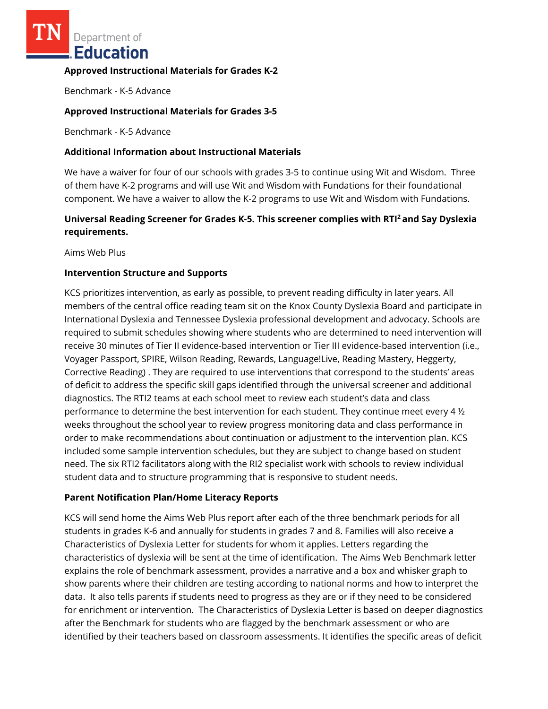Department of Education

### **Approved Instructional Materials for Grades K-2**

Benchmark - K-5 Advance

## **Approved Instructional Materials for Grades 3-5**

Benchmark - K-5 Advance

## **Additional Information about Instructional Materials**

We have a waiver for four of our schools with grades 3-5 to continue using Wit and Wisdom. Three of them have K-2 programs and will use Wit and Wisdom with Fundations for their foundational component. We have a waiver to allow the K-2 programs to use Wit and Wisdom with Fundations.

# **Universal Reading Screener for Grades K-5. This screener complies with RTI<sup>2</sup>and Say Dyslexia requirements.**

Aims Web Plus

### **Intervention Structure and Supports**

KCS prioritizes intervention, as early as possible, to prevent reading difficulty in later years. All members of the central office reading team sit on the Knox County Dyslexia Board and participate in International Dyslexia and Tennessee Dyslexia professional development and advocacy. Schools are required to submit schedules showing where students who are determined to need intervention will receive 30 minutes of Tier II evidence-based intervention or Tier III evidence-based intervention (i.e., Voyager Passport, SPIRE, Wilson Reading, Rewards, Language!Live, Reading Mastery, Heggerty, Corrective Reading) . They are required to use interventions that correspond to the students' areas of deficit to address the specific skill gaps identified through the universal screener and additional diagnostics. The RTI2 teams at each school meet to review each student's data and class performance to determine the best intervention for each student. They continue meet every 4  $\frac{1}{2}$ weeks throughout the school year to review progress monitoring data and class performance in order to make recommendations about continuation or adjustment to the intervention plan. KCS included some sample intervention schedules, but they are subject to change based on student need. The six RTI2 facilitators along with the RI2 specialist work with schools to review individual student data and to structure programming that is responsive to student needs.

## **Parent Notification Plan/Home Literacy Reports**

KCS will send home the Aims Web Plus report after each of the three benchmark periods for all students in grades K-6 and annually for students in grades 7 and 8. Families will also receive a Characteristics of Dyslexia Letter for students for whom it applies. Letters regarding the characteristics of dyslexia will be sent at the time of identification. The Aims Web Benchmark letter explains the role of benchmark assessment, provides a narrative and a box and whisker graph to show parents where their children are testing according to national norms and how to interpret the data. It also tells parents if students need to progress as they are or if they need to be considered for enrichment or intervention. The Characteristics of Dyslexia Letter is based on deeper diagnostics after the Benchmark for students who are flagged by the benchmark assessment or who are identified by their teachers based on classroom assessments. It identifies the specific areas of deficit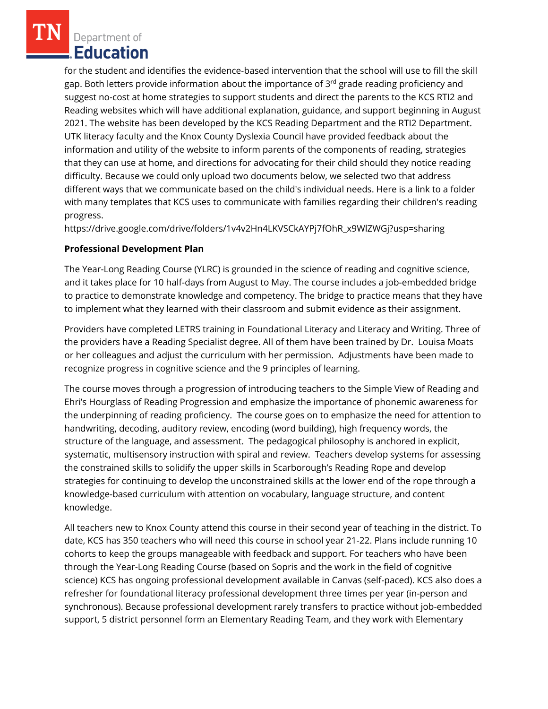Department of Education

for the student and identifies the evidence-based intervention that the school will use to fill the skill gap. Both letters provide information about the importance of 3<sup>rd</sup> grade reading proficiency and suggest no-cost at home strategies to support students and direct the parents to the KCS RTI2 and Reading websites which will have additional explanation, guidance, and support beginning in August 2021. The website has been developed by the KCS Reading Department and the RTI2 Department. UTK literacy faculty and the Knox County Dyslexia Council have provided feedback about the information and utility of the website to inform parents of the components of reading, strategies that they can use at home, and directions for advocating for their child should they notice reading difficulty. Because we could only upload two documents below, we selected two that address different ways that we communicate based on the child's individual needs. Here is a link to a folder with many templates that KCS uses to communicate with families regarding their children's reading progress.

https://drive.google.com/drive/folders/1v4v2Hn4LKVSCkAYPj7fOhR\_x9WlZWGj?usp=sharing

## **Professional Development Plan**

The Year-Long Reading Course (YLRC) is grounded in the science of reading and cognitive science, and it takes place for 10 half-days from August to May. The course includes a job-embedded bridge to practice to demonstrate knowledge and competency. The bridge to practice means that they have to implement what they learned with their classroom and submit evidence as their assignment.

Providers have completed LETRS training in Foundational Literacy and Literacy and Writing. Three of the providers have a Reading Specialist degree. All of them have been trained by Dr. Louisa Moats or her colleagues and adjust the curriculum with her permission. Adjustments have been made to recognize progress in cognitive science and the 9 principles of learning.

The course moves through a progression of introducing teachers to the Simple View of Reading and Ehri's Hourglass of Reading Progression and emphasize the importance of phonemic awareness for the underpinning of reading proficiency. The course goes on to emphasize the need for attention to handwriting, decoding, auditory review, encoding (word building), high frequency words, the structure of the language, and assessment. The pedagogical philosophy is anchored in explicit, systematic, multisensory instruction with spiral and review. Teachers develop systems for assessing the constrained skills to solidify the upper skills in Scarborough's Reading Rope and develop strategies for continuing to develop the unconstrained skills at the lower end of the rope through a knowledge-based curriculum with attention on vocabulary, language structure, and content knowledge.

All teachers new to Knox County attend this course in their second year of teaching in the district. To date, KCS has 350 teachers who will need this course in school year 21-22. Plans include running 10 cohorts to keep the groups manageable with feedback and support. For teachers who have been through the Year-Long Reading Course (based on Sopris and the work in the field of cognitive science) KCS has ongoing professional development available in Canvas (self-paced). KCS also does a refresher for foundational literacy professional development three times per year (in-person and synchronous). Because professional development rarely transfers to practice without job-embedded support, 5 district personnel form an Elementary Reading Team, and they work with Elementary